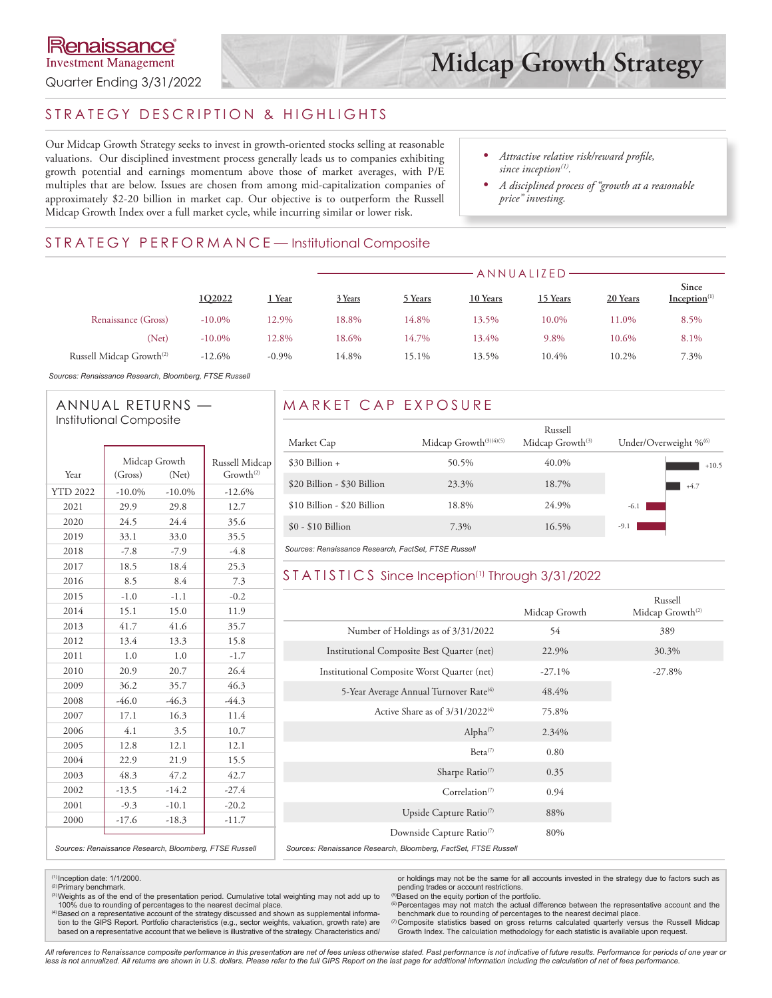## STRATEGY DESCRIPTION & HIGHLIGHTS

Our Midcap Growth Strategy seeks to invest in growth-oriented stocks selling at reasonable valuations. Our disciplined investment process generally leads us to companies exhibiting growth potential and earnings momentum above those of market averages, with P/E multiples that are below. Issues are chosen from among mid-capitalization companies of approximately \$2-20 billion in market cap. Our objective is to outperform the Russell Midcap Growth Index over a full market cycle, while incurring similar or lower risk.

- *• Attractive relative risk/reward profile, since inception*<sup>(1)</sup>.
- *• A disciplined process of "growth at a reasonable price" investing.*

## STRATEGY PERFORMANCE-Institutional Composite

|                                      |           |          |         | ANNUALIZED |          |          |          |                                   |  |  |
|--------------------------------------|-----------|----------|---------|------------|----------|----------|----------|-----------------------------------|--|--|
|                                      | 1Q2022    | Year     | 3 Years | 5 Years    | 10 Years | 15 Years | 20 Years | Since<br>Inception <sup>(1)</sup> |  |  |
| Renaissance (Gross)                  | $-10.0\%$ | 12.9%    | 18.8%   | 14.8%      | 13.5%    | 10.0%    | 11.0%    | 8.5%                              |  |  |
| (Net)                                | $-10.0\%$ | 12.8%    | 18.6%   | 14.7%      | 13.4%    | 9.8%     | 10.6%    | 8.1%                              |  |  |
| Russell Midcap Growth <sup>(2)</sup> | $-12.6%$  | $-0.9\%$ | 14.8%   | 15.1%      | 13.5%    | 10.4%    | 10.2%    | 7.3%                              |  |  |

*Sources: Renaissance Research, Bloomberg, FTSE Russell*

#### ANNUAL RETURNS — Institutional Composite

|                 | Midcap Growth |           | Russell Midcap                                         |
|-----------------|---------------|-----------|--------------------------------------------------------|
| Year            | (Gross)       | (Net)     | Growth <sup>(2)</sup>                                  |
| <b>YTD 2022</b> | $-10.0\%$     | $-10.0\%$ | $-12.6%$                                               |
| 2021            | 29.9          | 29.8      | 12.7                                                   |
| 2020            | 24.5          | 24.4      | 35.6                                                   |
| 2019            | 33.1          | 33.0      | 35.5                                                   |
| 2018            | $-7.8$        | $-7.9$    | $-4.8$                                                 |
| 2017            | 18.5          | 18.4      | 25.3                                                   |
| 2016            | 8.5           | 8.4       | 7.3                                                    |
| 2015            | $-1.0$        | $-1.1$    | $-0.2$                                                 |
| 2014            | 15.1          | 15.0      | 11.9                                                   |
| 2013            | 41.7          | 41.6      | 35.7                                                   |
| 2012            | 13.4          | 13.3      | 15.8                                                   |
| 2011            | 1.0           | 1.0       | $-1.7$                                                 |
| 2010            | 20.9          | 20.7      | 26.4                                                   |
| 2009            | 36.2          | 35.7      | 46.3                                                   |
| 2008            | $-46.0$       | $-46.3$   | $-44.3$                                                |
| 2007            | 17.1          | 16.3      | 11.4                                                   |
| 2006            | 4.1           | 3.5       | 10.7                                                   |
| 2005            | 12.8          | 12.1      | 12.1                                                   |
| 2004            | 22.9          | 21.9      | 15.5                                                   |
| 2003            | 48.3          | 47.2      | 42.7                                                   |
| 2002            | $-13.5$       | $-14.2$   | $-27.4$                                                |
| 2001            | $-9.3$        | $-10.1$   | $-20.2$                                                |
| 2000            | $-17.6$       | $-18.3$   | $-11.7$                                                |
|                 |               |           | Sources: Renaissance Research, Bloomberg, FTSE Russell |

## MARKET CAP EXPOSURE

| Market Cap                  | Midcap Growth $(3)(4)(5)$ | Russell<br>Midcap Growth <sup>(3)</sup> | Under/Overweight % <sup>66</sup> |
|-----------------------------|---------------------------|-----------------------------------------|----------------------------------|
| $$30$ Billion +             | 50.5%                     | 40.0%                                   | $+10.5$                          |
| \$20 Billion - \$30 Billion | 23.3%                     | 18.7%                                   | $+4.7$                           |
| \$10 Billion - \$20 Billion | 18.8%                     | 24.9%                                   | $-6.1$                           |
| $$0 - $10$ Billion          | 7.3%                      | 16.5%                                   | $-9.1$                           |

*Sources: Renaissance Research, FactSet, FTSE Russell*

#### STATISTICS Since Inception<sup>(1)</sup> Through 3/31/2022

|                                                                 | Midcap Growth | Russell<br>Midcap Growth <sup>(2)</sup> |
|-----------------------------------------------------------------|---------------|-----------------------------------------|
| Number of Holdings as of 3/31/2022                              | 54            | 389                                     |
| Institutional Composite Best Quarter (net)                      | 22.9%         | 30.3%                                   |
| Institutional Composite Worst Quarter (net)                     | $-27.1%$      | $-27.8%$                                |
| 5-Year Average Annual Turnover Rate <sup>(4)</sup>              | 48.4%         |                                         |
| Active Share as of $3/31/2022^{(4)}$                            | 75.8%         |                                         |
| Alpha <sup>(7)</sup>                                            | 2.34%         |                                         |
| $Beta^{(7)}$                                                    | 0.80          |                                         |
| Sharpe Ratio <sup>(7)</sup>                                     | 0.35          |                                         |
| Correlation <sup><math>(7)</math></sup>                         | 0.94          |                                         |
| Upside Capture Ratio <sup>(7)</sup>                             | 88%           |                                         |
| Downside Capture Ratio <sup>(7)</sup>                           | 80%           |                                         |
| Sources: Renaissance Research, Bloomberg, FactSet, FTSE Russell |               |                                         |

 $(1)$  Inception date:  $1/1/2000$ . <sup>(2)</sup> Primary benchmark.

(3) Weights as of the end of the presentation period. Cumulative total weighting may not add up to 100% due to rounding of percentages to the nearest decimal place.

<sup>(4)</sup>Based on a representative account of the strategy discussed and shown as supplemental informa-<br>tion to the GIPS Report. Portfolio characteristics (e.g., sector weights, valuation, growth rate) are based on a representative account that we believe is illustrative of the strategy. Characteristics and/

or holdings may not be the same for all accounts invested in the strategy due to factors such as pending trades or account restrictions.<br>
<sup>(5)</sup>Based on the equity portion of the portfolio.

Percentages may not match the actual difference between the representative account and the benchmark due to rounding of percentages to the nearest decimal place.

(7) Composite statistics based on gross returns calculated quarterly versus the Russell Midcap Growth Index. The calculation methodology for each statistic is available upon request.

*All references to Renaissance composite performance in this presentation are net of fees unless otherwise stated. Past performance is not indicative of future results. Performance for periods of one year or*  less is not annualized. All returns are shown in U.S. dollars. Please refer to the full GIPS Report on the last page for additional information including the calculation of net of fees performance.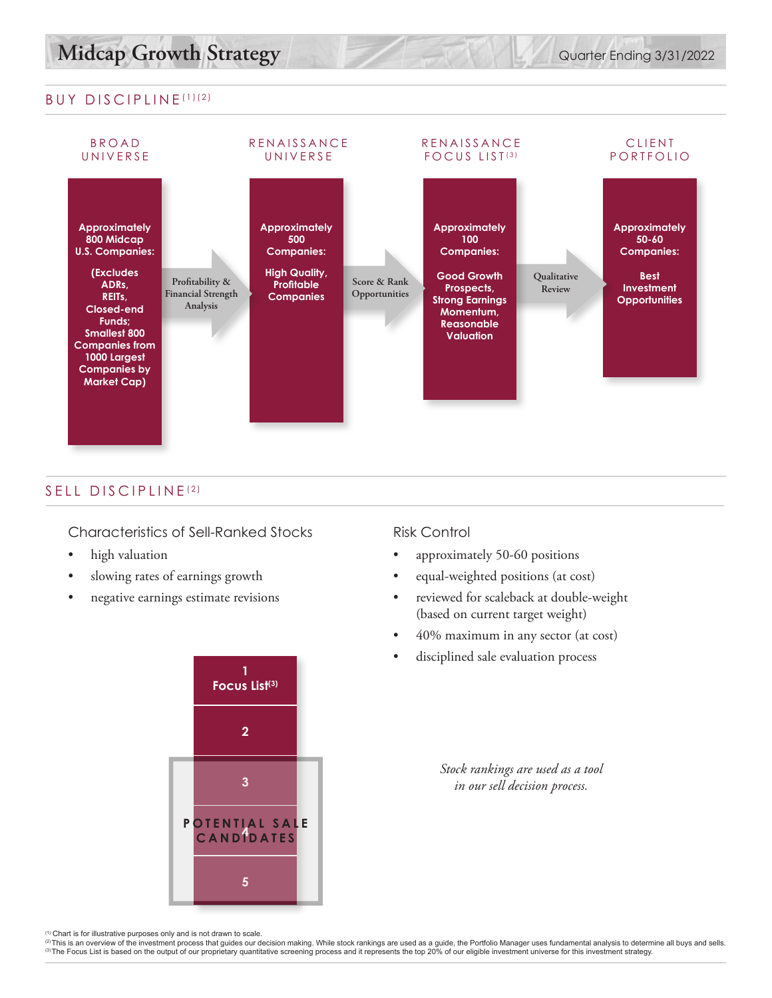## BUY DISCIPLINE (1)(2)



## SELL DISCIPLINE<sup>(2)</sup>

#### Characteristics of Sell-Ranked Stocks

- high valuation
- slowing rates of earnings growth
- negative earnings estimate revisions



#### Risk Control

- approximately 50-60 positions
- equal-weighted positions (at cost)
- reviewed for scaleback at double-weight (based on current target weight)
- 40% maximum in any sector (at cost)
- disciplined sale evaluation process

*Stock rankings are used as a tool in our sell decision process.*

<sup>(1)</sup> Chart is for illustrative purposes only and is not drawn to scale.<br><sup>②</sup>This is an overview of the investment process that guides our decision making. While stock rankings are used as a guide, the Portfolio Manager use (3) The Focus List is based on the output of our proprietary quantitative screening process and it represents the top 20% of our eligible investment universe for this investment strategy.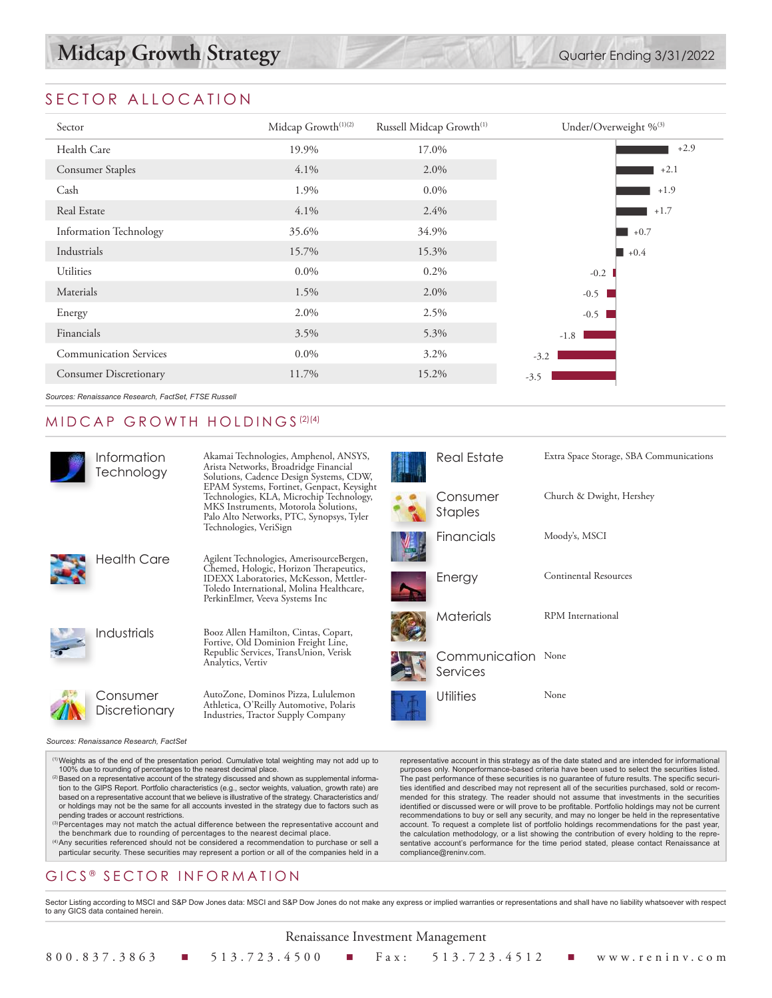# SECTOR ALLOCATION

| Sector                        | Midcap Growth <sup>(1)(2)</sup> | Russell Midcap Growth <sup>(1)</sup> | Under/Overweight %(3) |  |  |
|-------------------------------|---------------------------------|--------------------------------------|-----------------------|--|--|
| Health Care                   | 19.9%                           | 17.0%                                | $+2.9$                |  |  |
| <b>Consumer Staples</b>       | $4.1\%$                         | 2.0%                                 | $+2.1$                |  |  |
| Cash                          | 1.9%                            | $0.0\%$                              | $+1.9$                |  |  |
| Real Estate                   | $4.1\%$                         | $2.4\%$                              | $+1.7$                |  |  |
| <b>Information Technology</b> | 35.6%                           | 34.9%                                | $+0.7$                |  |  |
| Industrials                   | 15.7%                           | 15.3%                                | $\blacksquare$ +0.4   |  |  |
| <b>Utilities</b>              | $0.0\%$                         | $0.2\%$                              | $-0.2$                |  |  |
| Materials                     | 1.5%                            | 2.0%                                 | $-0.5$                |  |  |
| Energy                        | 2.0%                            | 2.5%                                 | $-0.5$                |  |  |
| Financials                    | 3.5%                            | 5.3%                                 | $-1.8$                |  |  |
| <b>Communication Services</b> | $0.0\%$                         | 3.2%                                 | $-3.2$                |  |  |
| <b>Consumer Discretionary</b> | 11.7%                           | 15.2%                                | $-3.5$                |  |  |
|                               |                                 |                                      |                       |  |  |

*Sources: Renaissance Research, FactSet, FTSE Russell*

## MIDCAP GROWTH HOLDINGS (2)(4)

| Information<br>Technology              | Akamai Technologies, Amphenol, ANSYS,<br>Arista Networks, Broadridge Financial<br>Solutions, Cadence Design Systems, CDW,                                                                                  | <b>Real Esta</b>   |
|----------------------------------------|------------------------------------------------------------------------------------------------------------------------------------------------------------------------------------------------------------|--------------------|
|                                        | EPAM Systems, Fortinet, Genpact, Keysight<br>Technologies, KLA, Microchip Technology,<br>MKS Instruments, Motorola Solutions,<br>Palo Alto Networks, PTC, Synopsys, Tyler                                  | Consume<br>Staples |
|                                        | Technologies, VeriSign                                                                                                                                                                                     | Financial          |
| <b>Health Care</b>                     | Agilent Technologies, AmerisourceBergen,<br>Chemed, Hologic, Horizon Therapeutics,<br>IDEXX Laboratories, McKesson, Mettler-<br>Toledo International, Molina Healthcare,<br>PerkinElmer, Veeva Systems Inc | Energy             |
| Industrials                            | Booz Allen Hamilton, Cintas, Copart,<br>Fortive, Old Dominion Freight Line,                                                                                                                                | Materials          |
|                                        | Republic Services, TransUnion, Verisk<br>Analytics, Vertiv                                                                                                                                                 | Commur<br>Services |
| Consumer<br>Discretionary              | AutoZone, Dominos Pizza, Lululemon<br>Athletica, O'Reilly Automotive, Polaris<br>Industries, Tractor Supply Company                                                                                        | Utilities          |
| Sources: Renaissance Research, FactSet |                                                                                                                                                                                                            |                    |

(1)Weights as of the end of the presentation period. Cumulative total weighting may not add up to 100% due to rounding of percentages to the nearest decimal place.

- <sup>(2)</sup> Based on a representative account of the strategy discussed and shown as supplemental information to the GIPS Report. Portfolio characteristics (e.g., sector weights, valuation, growth rate) are based on a representative account that we believe is illustrative of the strategy. Characteristics and/ or holdings may not be the same for all accounts invested in the strategy due to factors such as pending trades or account restrictions.
- (3) Percentages may not match the actual difference between the representative account and the benchmark due to rounding of percentages to the nearest decimal place.
- (4)Any securities referenced should not be considered a recommendation to purchase or sell a particular security. These securities may represent a portion or all of the companies held in a

# GICS<sup>®</sup> SECTOR INFORMATION

representative account in this strategy as of the date stated and are intended for informational purposes only. Nonperformance-based criteria have been used to select the securities listed. The past performance of these securities is no guarantee of future results. The specific securities identified and described may not represent all of the securities purchased, sold or recommended for this strategy. The reader should not assume that investments in the securities identified or discussed were or will prove to be profitable. Portfolio holdings may not be current recommendations to buy or sell any security, and may no longer be held in the representative account. To request a complete list of portfolio holdings recommendations for the past year, the calculation methodology, or a list showing the contribution of every holding to the representative account's performance for the time period stated, please contact Renaissance at compliance@reninv.com.

Sector Listing according to MSCI and S&P Dow Jones data: MSCI and S&P Dow Jones do not make any express or implied warranties or representations and shall have no liability whatsoever with respect to any GICS data contained herein.

| Real Estate                | Extra Space Storage, SBA Communications |
|----------------------------|-----------------------------------------|
| Consumer<br><b>Staples</b> | Church & Dwight, Hershey                |
| Financials                 | Moody's, MSCI                           |
| Energy                     | <b>Continental Resources</b>            |
| Materials                  | RPM International                       |
| Communication<br>Services  | None                                    |
| Utilities                  | None                                    |

Renaissance Investment Management

800.837.3863 n 513.723.4500 n Fax: 513.723.4512 n www.reninv.com